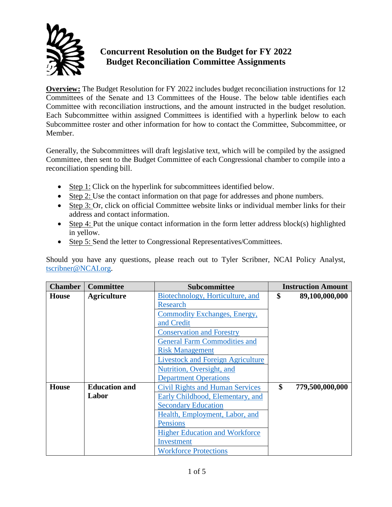

## **Concurrent Resolution on the Budget for FY 2022 Budget Reconciliation Committee Assignments**

**Overview:** The Budget Resolution for FY 2022 includes budget reconciliation instructions for 12 Committees of the Senate and 13 Committees of the House. The below table identifies each Committee with reconciliation instructions, and the amount instructed in the budget resolution. Each Subcommittee within assigned Committees is identified with a hyperlink below to each Subcommittee roster and other information for how to contact the Committee, Subcommittee, or Member.

Generally, the Subcommittees will draft legislative text, which will be compiled by the assigned Committee, then sent to the Budget Committee of each Congressional chamber to compile into a reconciliation spending bill.

- $\bullet$  Step 1: Click on the hyperlink for subcommittees identified below.
- Step 2: Use the contact information on that page for addresses and phone numbers.
- Step 3: Or, click on official Committee website links or individual member links for their address and contact information.
- Step 4: Put the unique contact information in the form letter address block(s) highlighted in yellow.
- Step 5: Send the letter to Congressional Representatives/Committees.

Should you have any questions, please reach out to Tyler Scribner, NCAI Policy Analyst, [tscribner@NCAI.org.](mailto:tscribner@NCAI.org)

| <b>Chamber</b> | <b>Committee</b>     | <b>Subcommittee</b>                      | <b>Instruction Amount</b> |
|----------------|----------------------|------------------------------------------|---------------------------|
| House          | <b>Agriculture</b>   | Biotechnology, Horticulture, and         | \$<br>89,100,000,000      |
|                |                      | <b>Research</b>                          |                           |
|                |                      | Commodity Exchanges, Energy,             |                           |
|                |                      | and Credit                               |                           |
|                |                      | <b>Conservation and Forestry</b>         |                           |
|                |                      | <b>General Farm Commodities and</b>      |                           |
|                |                      | <b>Risk Management</b>                   |                           |
|                |                      | <b>Livestock and Foreign Agriculture</b> |                           |
|                |                      | Nutrition, Oversight, and                |                           |
|                |                      | <b>Department Operations</b>             |                           |
| <b>House</b>   | <b>Education and</b> | <b>Civil Rights and Human Services</b>   | \$<br>779,500,000,000     |
|                | Labor                | Early Childhood, Elementary, and         |                           |
|                |                      | <b>Secondary Education</b>               |                           |
|                |                      | Health, Employment, Labor, and           |                           |
|                |                      | <b>Pensions</b>                          |                           |
|                |                      | <b>Higher Education and Workforce</b>    |                           |
|                |                      | Investment                               |                           |
|                |                      | <b>Workforce Protections</b>             |                           |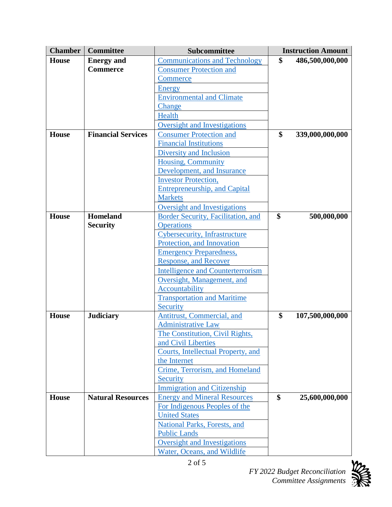| <b>Chamber</b> | <b>Committee</b>          | Subcommittee                                        | <b>Instruction Amount</b> |                 |
|----------------|---------------------------|-----------------------------------------------------|---------------------------|-----------------|
| <b>House</b>   | <b>Energy and</b>         | <b>Communications and Technology</b>                | \$                        | 486,500,000,000 |
|                | <b>Commerce</b>           | <b>Consumer Protection and</b>                      |                           |                 |
|                |                           | Commerce                                            |                           |                 |
|                |                           | <b>Energy</b>                                       |                           |                 |
|                |                           | <b>Environmental and Climate</b>                    |                           |                 |
|                |                           | Change                                              |                           |                 |
|                |                           | Health                                              |                           |                 |
|                |                           | <b>Oversight and Investigations</b>                 |                           |                 |
| <b>House</b>   | <b>Financial Services</b> | <b>Consumer Protection and</b>                      | \$                        | 339,000,000,000 |
|                |                           | <b>Financial Institutions</b>                       |                           |                 |
|                |                           | <b>Diversity and Inclusion</b>                      |                           |                 |
|                |                           | <b>Housing, Community</b>                           |                           |                 |
|                |                           | Development, and Insurance                          |                           |                 |
|                |                           | <b>Investor Protection,</b>                         |                           |                 |
|                |                           | <b>Entrepreneurship, and Capital</b>                |                           |                 |
|                |                           | <b>Markets</b>                                      |                           |                 |
|                |                           | <b>Oversight and Investigations</b>                 |                           |                 |
| <b>House</b>   | <b>Homeland</b>           | Border Security, Facilitation, and                  | \$                        | 500,000,000     |
|                | <b>Security</b>           | <b>Operations</b>                                   |                           |                 |
|                |                           | Cybersecurity, Infrastructure                       |                           |                 |
|                |                           | Protection, and Innovation                          |                           |                 |
|                |                           | <b>Emergency Preparedness,</b>                      |                           |                 |
|                |                           | <b>Response, and Recover</b>                        |                           |                 |
|                |                           | <b>Intelligence and Counterterrorism</b>            |                           |                 |
|                |                           | Oversight, Management, and                          |                           |                 |
|                |                           | Accountability                                      |                           |                 |
|                |                           | <b>Transportation and Maritime</b>                  |                           |                 |
|                |                           | Security                                            |                           |                 |
| <b>House</b>   | <b>Judiciary</b>          | Antitrust, Commercial, and                          | \$                        | 107,500,000,000 |
|                |                           | <b>Administrative Law</b>                           |                           |                 |
|                |                           | The Constitution, Civil Rights,                     |                           |                 |
|                |                           | and Civil Liberties                                 |                           |                 |
|                |                           | Courts, Intellectual Property, and                  |                           |                 |
|                |                           | the Internet                                        |                           |                 |
|                |                           | Crime, Terrorism, and Homeland                      |                           |                 |
|                |                           | Security                                            |                           |                 |
|                |                           | <b>Immigration and Citizenship</b>                  |                           |                 |
| <b>House</b>   | <b>Natural Resources</b>  | <b>Energy and Mineral Resources</b>                 | \$                        | 25,600,000,000  |
|                |                           | For Indigenous Peoples of the                       |                           |                 |
|                |                           | <b>United States</b>                                |                           |                 |
|                |                           | National Parks, Forests, and<br><b>Public Lands</b> |                           |                 |
|                |                           | Oversight and Investigations                        |                           |                 |
|                |                           |                                                     |                           |                 |
|                |                           | Water, Oceans, and Wildlife                         |                           |                 |



*FY 2022 Budget Reconciliation*

*Committee Assignments*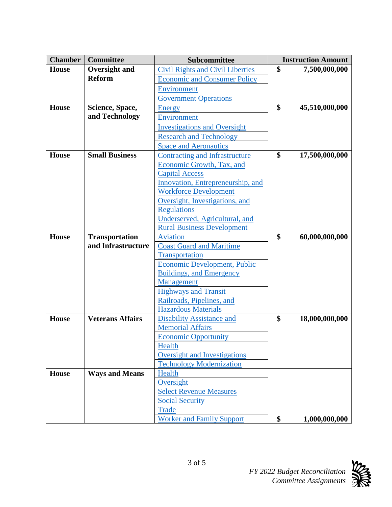| <b>Chamber</b> | <b>Committee</b>        | Subcommittee                                                | <b>Instruction Amount</b> |                |
|----------------|-------------------------|-------------------------------------------------------------|---------------------------|----------------|
| <b>House</b>   | <b>Oversight and</b>    | <b>Civil Rights and Civil Liberties</b>                     | \$                        | 7,500,000,000  |
|                | <b>Reform</b>           | <b>Economic and Consumer Policy</b>                         |                           |                |
|                |                         | Environment                                                 |                           |                |
|                |                         | <b>Government Operations</b>                                |                           |                |
| <b>House</b>   | Science, Space,         | Energy                                                      | \$                        | 45,510,000,000 |
|                | and Technology          | Environment                                                 |                           |                |
|                |                         | <b>Investigations and Oversight</b>                         |                           |                |
|                |                         | <b>Research and Technology</b>                              |                           |                |
|                |                         | <b>Space and Aeronautics</b>                                |                           |                |
| <b>House</b>   | <b>Small Business</b>   | Contracting and Infrastructure                              | \$                        | 17,500,000,000 |
|                |                         | Economic Growth, Tax, and                                   |                           |                |
|                |                         | <b>Capital Access</b>                                       |                           |                |
|                |                         | Innovation, Entrepreneurship, and                           |                           |                |
|                |                         | <b>Workforce Development</b>                                |                           |                |
|                |                         | Oversight, Investigations, and                              |                           |                |
|                |                         | <b>Regulations</b>                                          |                           |                |
|                |                         | Underserved, Agricultural, and                              |                           |                |
|                |                         | <b>Rural Business Development</b>                           |                           |                |
| <b>House</b>   | <b>Transportation</b>   | <b>Aviation</b>                                             | \$                        | 60,000,000,000 |
|                | and Infrastructure      | <b>Coast Guard and Maritime</b>                             |                           |                |
|                |                         | Transportation                                              |                           |                |
|                |                         | <b>Economic Development, Public</b>                         |                           |                |
|                |                         | <b>Buildings, and Emergency</b>                             |                           |                |
|                |                         | Management                                                  |                           |                |
|                |                         | <b>Highways and Transit</b>                                 |                           |                |
|                |                         | Railroads, Pipelines, and                                   |                           |                |
| <b>House</b>   | <b>Veterans Affairs</b> | <b>Hazardous Materials</b>                                  | \$                        | 18,000,000,000 |
|                |                         | <b>Disability Assistance and</b><br><b>Memorial Affairs</b> |                           |                |
|                |                         | <b>Economic Opportunity</b>                                 |                           |                |
|                |                         | Health                                                      |                           |                |
|                |                         | <b>Oversight and Investigations</b>                         |                           |                |
|                |                         | <b>Technology Modernization</b>                             |                           |                |
| <b>House</b>   | <b>Ways and Means</b>   | Health                                                      |                           |                |
|                |                         | Oversight                                                   |                           |                |
|                |                         | <b>Select Revenue Measures</b>                              |                           |                |
|                |                         | <b>Social Security</b>                                      |                           |                |
|                |                         | <b>Trade</b>                                                |                           |                |
|                |                         | <b>Worker and Family Support</b>                            | \$                        | 1,000,000,000  |

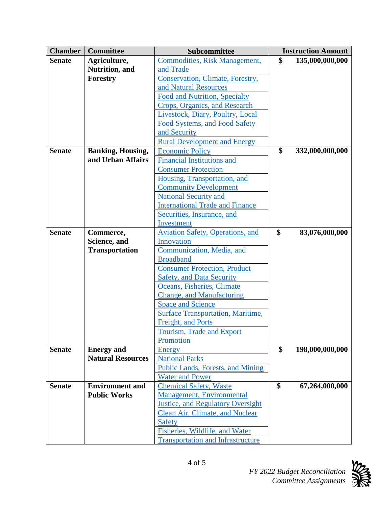| <b>Chamber</b> | <b>Committee</b>         | Subcommittee                             | <b>Instruction Amount</b> |                 |
|----------------|--------------------------|------------------------------------------|---------------------------|-----------------|
| <b>Senate</b>  | Agriculture,             | <b>Commodities, Risk Management,</b>     | \$                        | 135,000,000,000 |
|                | Nutrition, and           | and Trade                                |                           |                 |
|                | Forestry                 | Conservation, Climate, Forestry,         |                           |                 |
|                |                          | and Natural Resources                    |                           |                 |
|                |                          | Food and Nutrition, Specialty            |                           |                 |
|                |                          | Crops, Organics, and Research            |                           |                 |
|                |                          | Livestock, Diary, Poultry, Local         |                           |                 |
|                |                          | Food Systems, and Food Safety            |                           |                 |
|                |                          | and Security                             |                           |                 |
|                |                          | <b>Rural Development and Energy</b>      |                           |                 |
| <b>Senate</b>  | <b>Banking, Housing,</b> | <b>Economic Policy</b>                   | \$                        | 332,000,000,000 |
|                | and Urban Affairs        | <b>Financial Institutions and</b>        |                           |                 |
|                |                          | <b>Consumer Protection</b>               |                           |                 |
|                |                          | Housing, Transportation, and             |                           |                 |
|                |                          | <b>Community Development</b>             |                           |                 |
|                |                          | <b>National Security and</b>             |                           |                 |
|                |                          | <b>International Trade and Finance</b>   |                           |                 |
|                |                          | Securities, Insurance, and               |                           |                 |
|                |                          | Investment                               |                           |                 |
| <b>Senate</b>  | Commerce,                | <b>Aviation Safety, Operations, and</b>  | \$                        | 83,076,000,000  |
|                | Science, and             | Innovation                               |                           |                 |
|                | <b>Transportation</b>    | Communication, Media, and                |                           |                 |
|                |                          | <b>Broadband</b>                         |                           |                 |
|                |                          | <b>Consumer Protection, Product</b>      |                           |                 |
|                |                          | <b>Safety, and Data Security</b>         |                           |                 |
|                |                          | Oceans, Fisheries, Climate               |                           |                 |
|                |                          | <b>Change, and Manufacturing</b>         |                           |                 |
|                |                          | <b>Space and Science</b>                 |                           |                 |
|                |                          | <b>Surface Transportation, Maritime,</b> |                           |                 |
|                |                          | Freight, and Ports                       |                           |                 |
|                |                          | <b>Tourism, Trade and Export</b>         |                           |                 |
|                |                          | Promotion                                |                           |                 |
| <b>Senate</b>  | <b>Energy</b> and        | <b>Energy</b>                            | \$                        | 198,000,000,000 |
|                | <b>Natural Resources</b> | <b>National Parks</b>                    |                           |                 |
|                |                          | Public Lands, Forests, and Mining        |                           |                 |
|                |                          | <b>Water and Power</b>                   |                           |                 |
| <b>Senate</b>  | <b>Environment and</b>   | <b>Chemical Safety, Waste</b>            | \$                        | 67,264,000,000  |
|                | <b>Public Works</b>      | <b>Management, Environmental</b>         |                           |                 |
|                |                          | <b>Justice, and Regulatory Oversight</b> |                           |                 |
|                |                          | Clean Air, Climate, and Nuclear          |                           |                 |
|                |                          | <b>Safety</b>                            |                           |                 |
|                |                          | Fisheries, Wildlife, and Water           |                           |                 |
|                |                          | <b>Transportation and Infrastructure</b> |                           |                 |